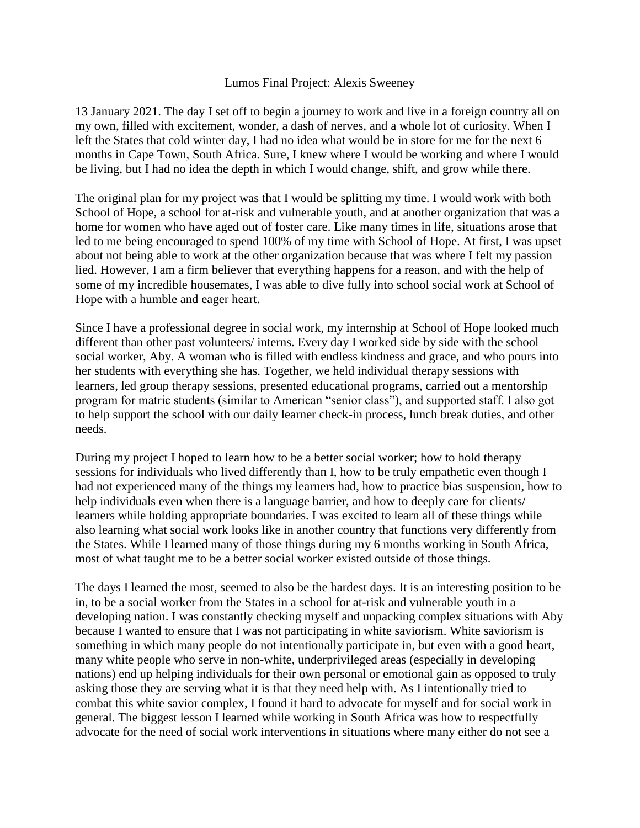## Lumos Final Project: Alexis Sweeney

13 January 2021. The day I set off to begin a journey to work and live in a foreign country all on my own, filled with excitement, wonder, a dash of nerves, and a whole lot of curiosity. When I left the States that cold winter day, I had no idea what would be in store for me for the next 6 months in Cape Town, South Africa. Sure, I knew where I would be working and where I would be living, but I had no idea the depth in which I would change, shift, and grow while there.

The original plan for my project was that I would be splitting my time. I would work with both School of Hope, a school for at-risk and vulnerable youth, and at another organization that was a home for women who have aged out of foster care. Like many times in life, situations arose that led to me being encouraged to spend 100% of my time with School of Hope. At first, I was upset about not being able to work at the other organization because that was where I felt my passion lied. However, I am a firm believer that everything happens for a reason, and with the help of some of my incredible housemates, I was able to dive fully into school social work at School of Hope with a humble and eager heart.

Since I have a professional degree in social work, my internship at School of Hope looked much different than other past volunteers/ interns. Every day I worked side by side with the school social worker, Aby. A woman who is filled with endless kindness and grace, and who pours into her students with everything she has. Together, we held individual therapy sessions with learners, led group therapy sessions, presented educational programs, carried out a mentorship program for matric students (similar to American "senior class"), and supported staff. I also got to help support the school with our daily learner check-in process, lunch break duties, and other needs.

During my project I hoped to learn how to be a better social worker; how to hold therapy sessions for individuals who lived differently than I, how to be truly empathetic even though I had not experienced many of the things my learners had, how to practice bias suspension, how to help individuals even when there is a language barrier, and how to deeply care for clients/ learners while holding appropriate boundaries. I was excited to learn all of these things while also learning what social work looks like in another country that functions very differently from the States. While I learned many of those things during my 6 months working in South Africa, most of what taught me to be a better social worker existed outside of those things.

The days I learned the most, seemed to also be the hardest days. It is an interesting position to be in, to be a social worker from the States in a school for at-risk and vulnerable youth in a developing nation. I was constantly checking myself and unpacking complex situations with Aby because I wanted to ensure that I was not participating in white saviorism. White saviorism is something in which many people do not intentionally participate in, but even with a good heart, many white people who serve in non-white, underprivileged areas (especially in developing nations) end up helping individuals for their own personal or emotional gain as opposed to truly asking those they are serving what it is that they need help with. As I intentionally tried to combat this white savior complex, I found it hard to advocate for myself and for social work in general. The biggest lesson I learned while working in South Africa was how to respectfully advocate for the need of social work interventions in situations where many either do not see a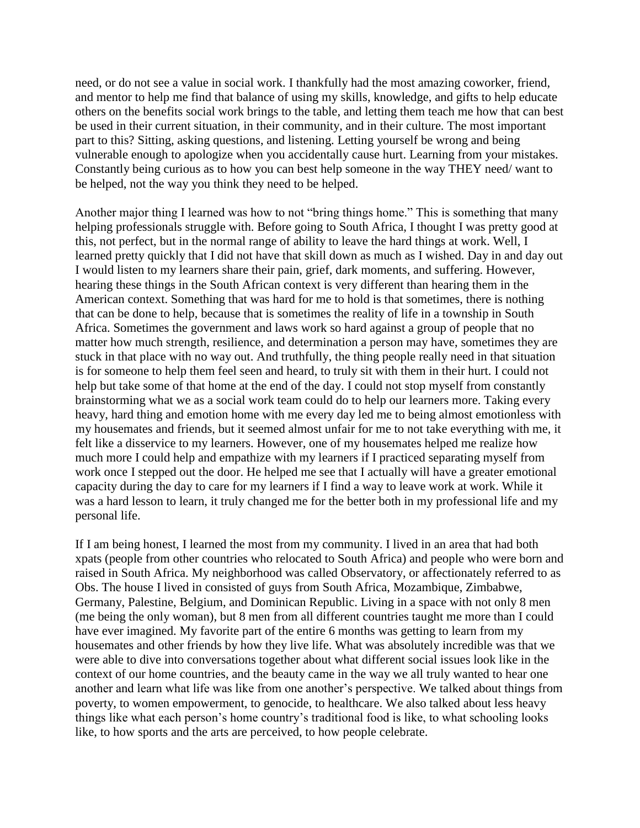need, or do not see a value in social work. I thankfully had the most amazing coworker, friend, and mentor to help me find that balance of using my skills, knowledge, and gifts to help educate others on the benefits social work brings to the table, and letting them teach me how that can best be used in their current situation, in their community, and in their culture. The most important part to this? Sitting, asking questions, and listening. Letting yourself be wrong and being vulnerable enough to apologize when you accidentally cause hurt. Learning from your mistakes. Constantly being curious as to how you can best help someone in the way THEY need/ want to be helped, not the way you think they need to be helped.

Another major thing I learned was how to not "bring things home." This is something that many helping professionals struggle with. Before going to South Africa, I thought I was pretty good at this, not perfect, but in the normal range of ability to leave the hard things at work. Well, I learned pretty quickly that I did not have that skill down as much as I wished. Day in and day out I would listen to my learners share their pain, grief, dark moments, and suffering. However, hearing these things in the South African context is very different than hearing them in the American context. Something that was hard for me to hold is that sometimes, there is nothing that can be done to help, because that is sometimes the reality of life in a township in South Africa. Sometimes the government and laws work so hard against a group of people that no matter how much strength, resilience, and determination a person may have, sometimes they are stuck in that place with no way out. And truthfully, the thing people really need in that situation is for someone to help them feel seen and heard, to truly sit with them in their hurt. I could not help but take some of that home at the end of the day. I could not stop myself from constantly brainstorming what we as a social work team could do to help our learners more. Taking every heavy, hard thing and emotion home with me every day led me to being almost emotionless with my housemates and friends, but it seemed almost unfair for me to not take everything with me, it felt like a disservice to my learners. However, one of my housemates helped me realize how much more I could help and empathize with my learners if I practiced separating myself from work once I stepped out the door. He helped me see that I actually will have a greater emotional capacity during the day to care for my learners if I find a way to leave work at work. While it was a hard lesson to learn, it truly changed me for the better both in my professional life and my personal life.

If I am being honest, I learned the most from my community. I lived in an area that had both xpats (people from other countries who relocated to South Africa) and people who were born and raised in South Africa. My neighborhood was called Observatory, or affectionately referred to as Obs. The house I lived in consisted of guys from South Africa, Mozambique, Zimbabwe, Germany, Palestine, Belgium, and Dominican Republic. Living in a space with not only 8 men (me being the only woman), but 8 men from all different countries taught me more than I could have ever imagined. My favorite part of the entire 6 months was getting to learn from my housemates and other friends by how they live life. What was absolutely incredible was that we were able to dive into conversations together about what different social issues look like in the context of our home countries, and the beauty came in the way we all truly wanted to hear one another and learn what life was like from one another's perspective. We talked about things from poverty, to women empowerment, to genocide, to healthcare. We also talked about less heavy things like what each person's home country's traditional food is like, to what schooling looks like, to how sports and the arts are perceived, to how people celebrate.